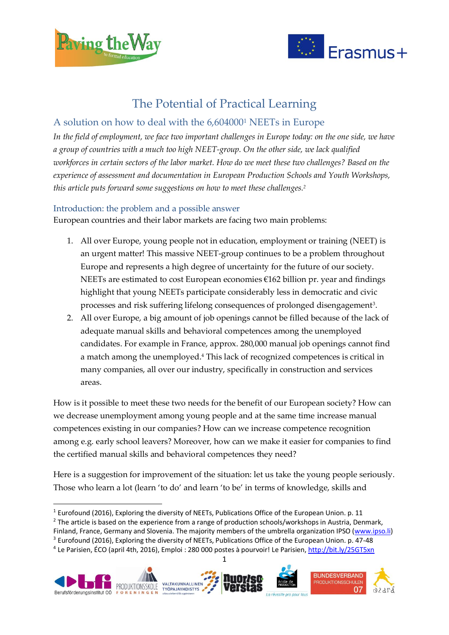

**.** 



# The Potential of Practical Learning

# A solution on how to deal with the 6,604000<sup>1</sup> NEETs in Europe

*In the field of employment, we face two important challenges in Europe today: on the one side, we have a group of countries with a much too high NEET-group. On the other side, we lack qualified workforces in certain sectors of the labor market. How do we meet these two challenges? Based on the experience of assessment and documentation in European Production Schools and Youth Workshops, this article puts forward some suggestions on how to meet these challenges. 2*

# Introduction: the problem and a possible answer

European countries and their labor markets are facing two main problems:

- 1. All over Europe, young people not in education, employment or training (NEET) is an urgent matter! This massive NEET-group continues to be a problem throughout Europe and represents a high degree of uncertainty for the future of our society. NEETs are estimated to cost European economies  $\epsilon$ 162 billion pr. year and findings highlight that young NEETs participate considerably less in democratic and civic processes and risk suffering lifelong consequences of prolonged disengagement<sup>3</sup>.
- 2. All over Europe, a big amount of job openings cannot be filled because of the lack of adequate manual skills and behavioral competences among the unemployed candidates. For example in France, approx. 280,000 manual job openings cannot find a match among the unemployed. <sup>4</sup> This lack of recognized competences is critical in many companies, all over our industry, specifically in construction and services areas.

How is it possible to meet these two needs for the benefit of our European society? How can we decrease unemployment among young people and at the same time increase manual competences existing in our companies? How can we increase competence recognition among e.g. early school leavers? Moreover, how can we make it easier for companies to find the certified manual skills and behavioral competences they need?

Here is a suggestion for improvement of the situation: let us take the young people seriously. Those who learn a lot (learn 'to do' and learn 'to be' in terms of knowledge, skills and

<sup>2</sup> The article is based on the experience from a range of production schools/workshops in Austria, Denmark,

<sup>1</sup> <sup>4</sup> Le Parisien, ÉCO (april 4th, 2016), Emploi : 280 000 postes à pourvoir! Le Parisien, <u>http://bit.ly/25GT5xn</u>



 $1$  Eurofound (2016), Exploring the diversity of NEETs, Publications Office of the European Union. p. 11

Finland, France, Germany and Slovenia. The majority members of the umbrella organization IPSO [\(www.ipso.li\)](http://www.ipso.li/)

<sup>&</sup>lt;sup>3</sup> Eurofound (2016), Exploring the diversity of NEETs, Publications Office of the European Union. p. 47-48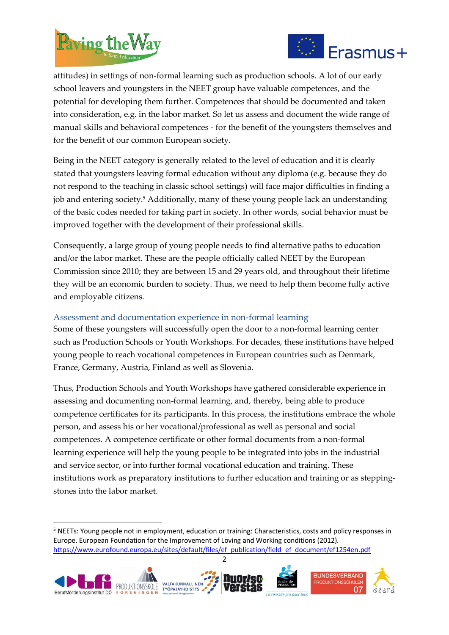

1



attitudes) in settings of non-formal learning such as production schools. A lot of our early school leavers and youngsters in the NEET group have valuable competences, and the potential for developing them further. Competences that should be documented and taken into consideration, e.g. in the labor market. So let us assess and document the wide range of manual skills and behavioral competences - for the benefit of the youngsters themselves and for the benefit of our common European society.

Being in the NEET category is generally related to the level of education and it is clearly stated that youngsters leaving formal education without any diploma (e.g. because they do not respond to the teaching in classic school settings) will face major difficulties in finding a job and entering society. <sup>5</sup> Additionally, many of these young people lack an understanding of the basic codes needed for taking part in society. In other words, social behavior must be improved together with the development of their professional skills.

Consequently, a large group of young people needs to find alternative paths to education and/or the labor market. These are the people officially called NEET by the European Commission since 2010; they are between 15 and 29 years old, and throughout their lifetime they will be an economic burden to society. Thus, we need to help them become fully active and employable citizens.

# Assessment and documentation experience in non-formal learning

Some of these youngsters will successfully open the door to a non-formal learning center such as Production Schools or Youth Workshops. For decades, these institutions have helped young people to reach vocational competences in European countries such as Denmark, France, Germany, Austria, Finland as well as Slovenia.

Thus, Production Schools and Youth Workshops have gathered considerable experience in assessing and documenting non-formal learning, and, thereby, being able to produce competence certificates for its participants. In this process, the institutions embrace the whole person, and assess his or her vocational/professional as well as personal and social competences. A competence certificate or other formal documents from a non-formal learning experience will help the young people to be integrated into jobs in the industrial and service sector, or into further formal vocational education and training. These institutions work as preparatory institutions to further education and training or as steppingstones into the labor market.

<sup>&</sup>lt;sup>5</sup> NEETs: Young people not in employment, education or training: Characteristics, costs and policy responses in Europe. European Foundation for the Improvement of Loving and Working conditions (2012). [https://www.eurofound.europa.eu/sites/default/files/ef\\_publication/field\\_ef\\_document/ef1254en.pdf](https://www.eurofound.europa.eu/sites/default/files/ef_publication/field_ef_document/ef1254en.pdf) 

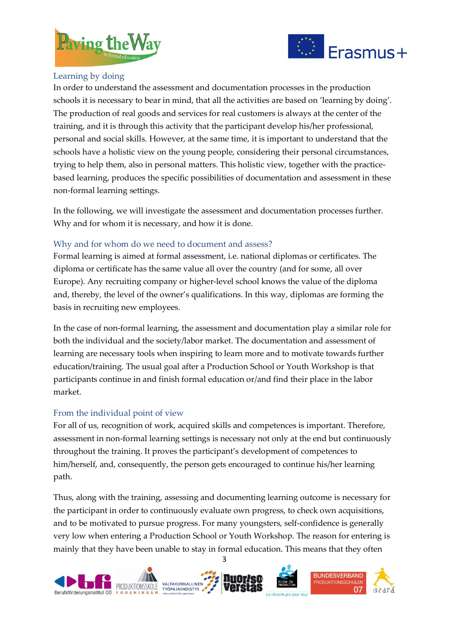



# Learning by doing

In order to understand the assessment and documentation processes in the production schools it is necessary to bear in mind, that all the activities are based on 'learning by doing'. The production of real goods and services for real customers is always at the center of the training, and it is through this activity that the participant develop his/her professional, personal and social skills. However, at the same time, it is important to understand that the schools have a holistic view on the young people, considering their personal circumstances, trying to help them, also in personal matters. This holistic view, together with the practicebased learning, produces the specific possibilities of documentation and assessment in these non-formal learning settings.

In the following, we will investigate the assessment and documentation processes further. Why and for whom it is necessary, and how it is done.

# Why and for whom do we need to document and assess?

Formal learning is aimed at formal assessment, i.e. national diplomas or certificates. The diploma or certificate has the same value all over the country (and for some, all over Europe). Any recruiting company or higher-level school knows the value of the diploma and, thereby, the level of the owner's qualifications. In this way, diplomas are forming the basis in recruiting new employees.

In the case of non-formal learning, the assessment and documentation play a similar role for both the individual and the society/labor market. The documentation and assessment of learning are necessary tools when inspiring to learn more and to motivate towards further education/training. The usual goal after a Production School or Youth Workshop is that participants continue in and finish formal education or/and find their place in the labor market.

#### From the individual point of view

For all of us, recognition of work, acquired skills and competences is important. Therefore, assessment in non-formal learning settings is necessary not only at the end but continuously throughout the training. It proves the participant's development of competences to him/herself, and, consequently, the person gets encouraged to continue his/her learning path.

Thus, along with the training, assessing and documenting learning outcome is necessary for the participant in order to continuously evaluate own progress, to check own acquisitions, and to be motivated to pursue progress. For many youngsters, self-confidence is generally very low when entering a Production School or Youth Workshop. The reason for entering is mainly that they have been unable to stay in formal education. This means that they often

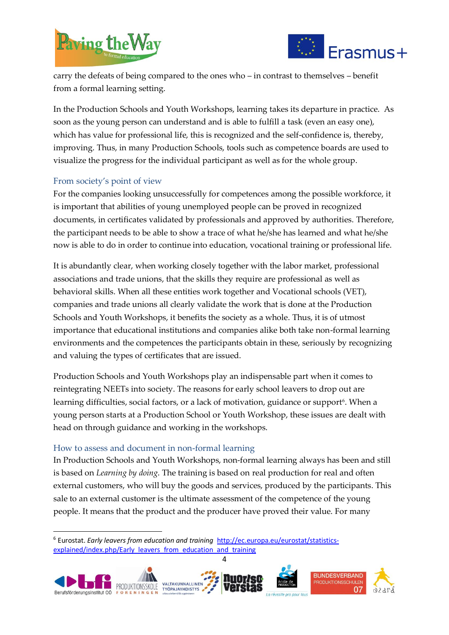



carry the defeats of being compared to the ones who – in contrast to themselves – benefit from a formal learning setting.

In the Production Schools and Youth Workshops, learning takes its departure in practice. As soon as the young person can understand and is able to fulfill a task (even an easy one), which has value for professional life, this is recognized and the self-confidence is, thereby, improving. Thus, in many Production Schools, tools such as competence boards are used to visualize the progress for the individual participant as well as for the whole group.

# From society's point of view

For the companies looking unsuccessfully for competences among the possible workforce, it is important that abilities of young unemployed people can be proved in recognized documents, in certificates validated by professionals and approved by authorities. Therefore, the participant needs to be able to show a trace of what he/she has learned and what he/she now is able to do in order to continue into education, vocational training or professional life.

It is abundantly clear, when working closely together with the labor market, professional associations and trade unions, that the skills they require are professional as well as behavioral skills. When all these entities work together and Vocational schools (VET), companies and trade unions all clearly validate the work that is done at the Production Schools and Youth Workshops, it benefits the society as a whole. Thus, it is of utmost importance that educational institutions and companies alike both take non-formal learning environments and the competences the participants obtain in these, seriously by recognizing and valuing the types of certificates that are issued.

Production Schools and Youth Workshops play an indispensable part when it comes to reintegrating NEETs into society. The reasons for early school leavers to drop out are learning difficulties, social factors, or a lack of motivation, guidance or support<sup>6</sup>. When a young person starts at a Production School or Youth Workshop, these issues are dealt with head on through guidance and working in the workshops.

# How to assess and document in non-formal learning

1

In Production Schools and Youth Workshops, non-formal learning always has been and still is based on *Learning by doing*. The training is based on real production for real and often external customers, who will buy the goods and services, produced by the participants. This sale to an external customer is the ultimate assessment of the competence of the young people. It means that the product and the producer have proved their value. For many

<sup>6</sup> Eurostat. *Early leavers from education and training* [http://ec.europa.eu/eurostat/statistics](http://ec.europa.eu/eurostat/statistics-explained/index.php/Early_leavers_from_education_and_training)[explained/index.php/Early\\_leavers\\_from\\_education\\_and\\_training](http://ec.europa.eu/eurostat/statistics-explained/index.php/Early_leavers_from_education_and_training)

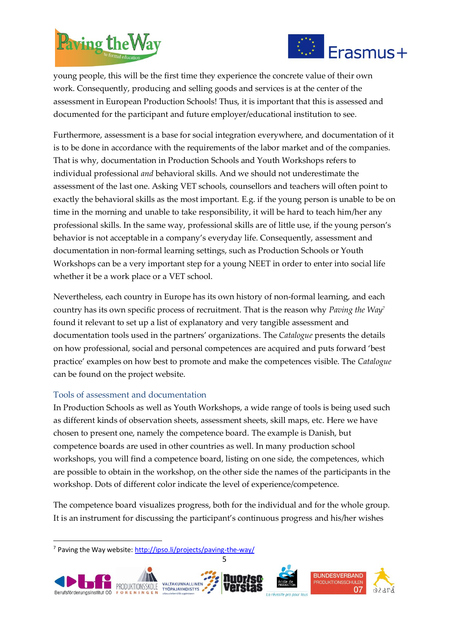



young people, this will be the first time they experience the concrete value of their own work. Consequently, producing and selling goods and services is at the center of the assessment in European Production Schools! Thus, it is important that this is assessed and documented for the participant and future employer/educational institution to see.

Furthermore, assessment is a base for social integration everywhere, and documentation of it is to be done in accordance with the requirements of the labor market and of the companies. That is why, documentation in Production Schools and Youth Workshops refers to individual professional *and* behavioral skills. And we should not underestimate the assessment of the last one. Asking VET schools, counsellors and teachers will often point to exactly the behavioral skills as the most important. E.g. if the young person is unable to be on time in the morning and unable to take responsibility, it will be hard to teach him/her any professional skills. In the same way, professional skills are of little use, if the young person's behavior is not acceptable in a company's everyday life. Consequently, assessment and documentation in non-formal learning settings, such as Production Schools or Youth Workshops can be a very important step for a young NEET in order to enter into social life whether it be a work place or a VET school.

Nevertheless, each country in Europe has its own history of non-formal learning, and each country has its own specific process of recruitment. That is the reason why *Paving the Way<sup>7</sup>* found it relevant to set up a list of explanatory and very tangible assessment and documentation tools used in the partners' organizations. The *Catalogue* presents the details on how professional, social and personal competences are acquired and puts forward 'best practice' examples on how best to promote and make the competences visible. The *Catalogue* can be found on the project website.

# Tools of assessment and documentation

In Production Schools as well as Youth Workshops, a wide range of tools is being used such as different kinds of observation sheets, assessment sheets, skill maps, etc. Here we have chosen to present one, namely the competence board. The example is Danish, but competence boards are used in other countries as well. In many production school workshops, you will find a competence board, listing on one side, the competences, which are possible to obtain in the workshop, on the other side the names of the participants in the workshop. Dots of different color indicate the level of experience/competence.

The competence board visualizes progress, both for the individual and for the whole group. It is an instrument for discussing the participant's continuous progress and his/her wishes

**.** 



<sup>7</sup> Paving the Way website[: http://ipso.li/projects/paving-the-way/](http://ipso.li/projects/paving-the-way/)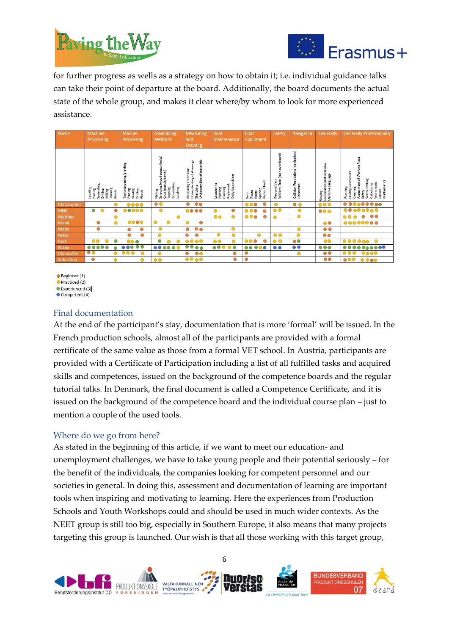



for further progress as wells as a strategy on how to obtain it; i.e. individual guidance talks can take their point of departure at the board. Additionally, the board documents the actual state of the whole group, and makes it clear where/by whom to look for more experienced assistance.

| <b>Name</b>    | Machine<br>Processing                                                                          | Manuel<br><b>Processing</b>                                                          | <b>Assembling</b><br><b>Methods</b>                                                                   | <b>Measuring</b><br>and<br><b>Drawing</b>                                                       | <b>Boat</b><br>Maintenance                                               | <b>Boat</b><br>Equipment                              | Safety                                                                        | Navigation                                           | Generally                                                  | <b>Generally Professionally</b>                                                                                                                                        |
|----------------|------------------------------------------------------------------------------------------------|--------------------------------------------------------------------------------------|-------------------------------------------------------------------------------------------------------|-------------------------------------------------------------------------------------------------|--------------------------------------------------------------------------|-------------------------------------------------------|-------------------------------------------------------------------------------|------------------------------------------------------|------------------------------------------------------------|------------------------------------------------------------------------------------------------------------------------------------------------------------------------|
|                | Leveling<br>Planing<br>Sawmilling<br>Turning<br>Drilling<br>Milling<br>Finish                  | Tool sharpening/grinding<br>Planing<br>Sawing<br>Drilling<br>Finish                  | Screwing (wood screws/bolts)<br>Glue (biscuit/dowel)<br>Tapping<br>Dovetailing<br>Latching<br>Nailing | ding of materials<br>Understanding of drawings<br>Measuring technique<br>Sketching<br>Understan | vision<br>Lacquering<br>Caulking<br>Rope work<br>Daily Super<br>Painting | Ť<br>Knots<br>Splicing<br>Motor Che<br>Ropes<br>Sails | board)<br>$\frac{1}{9}$<br>ò<br>(man)<br>Turn<br>Vest<br>Personal<br>Williams | Regulations (navigation)<br>Collision Re<br>Helmsman | erview<br>Maritime Language<br>Cooperation and O<br>Rowing | Place<br>Working<br>ssessment<br>đ<br>Waste Sorting<br>Calculating<br>Worksheets<br>Danish<br>Mathematics<br>Assessment<br>Quality A<br>Planning<br>Cleaning<br>Safety |
| Christopher    |                                                                                                | $\begin{array}{ccccc}\n\bullet & \bullet & \bullet & \bullet & \bullet\n\end{array}$ | $\bullet$ $\bullet$                                                                                   | $\bullet$<br>O                                                                                  |                                                                          | $\bullet$<br>$\circ\circ\circ$                        | $\bullet$                                                                     | $\bullet$ $\circ$                                    | $\circ\circ\circ$                                          | $000000000$                                                                                                                                                            |
| Rikki          | $\circ$<br>$\bullet$                                                                           | $\bullet\bullet\bullet\bullet$                                                       | $\bullet$                                                                                             | 0000                                                                                            | ۰<br>$\circ$                                                             | 000                                                   | $\circ$                                                                       | $\bullet$                                            | $\bullet\bullet\bullet$                                    |                                                                                                                                                                        |
| <b>Mathias</b> |                                                                                                |                                                                                      |                                                                                                       |                                                                                                 | ۵<br>$\circ\circ$                                                        | ٠<br>$\circ\circ\bullet$                              |                                                                               |                                                      |                                                            | 00<br>$\bullet$<br>00                                                                                                                                                  |
| Kenni          | $\circ$                                                                                        | 0000                                                                                 | $\bullet$<br>O                                                                                        | $\bullet$                                                                                       |                                                                          |                                                       |                                                                               |                                                      | $\circ$                                                    | 00000000                                                                                                                                                               |
| Mads           | $\bullet$                                                                                      |                                                                                      | $\bullet$                                                                                             | $\bullet$<br>Ō                                                                                  | ۵                                                                        |                                                       |                                                                               | $\bullet$                                            | $\bullet$                                                  |                                                                                                                                                                        |
| Nikki          |                                                                                                | ۱<br>٥                                                                               | ۰                                                                                                     |                                                                                                 | ۰<br>◉                                                                   |                                                       | $\circ$                                                                       | $\bullet$                                            | $\bullet\bullet$                                           |                                                                                                                                                                        |
| Inuk           | $\circ$                                                                                        | <b>00 ®</b>                                                                          | ۰                                                                                                     | 0000                                                                                            | $\circ$<br>$\bullet$                                                     |                                                       | $\circ$ $\circ$                                                               | $\circ$                                              | $\circ\circ$                                               | 000000                                                                                                                                                                 |
| Robin          | $\begin{array}{ccccc}\n\bullet & \bullet & \bullet & \bullet & \bullet & \bullet\n\end{array}$ | $\bullet\bullet$<br>000                                                              | 0000<br>$\bullet$                                                                                     | $\bullet$<br>$\circ$                                                                            | $\bullet\bullet\bullet$<br>O                                             | 000<br>$\bullet\bullet$                               | $\circ$                                                                       | $\circ$                                              | $\circ\circ\circ$                                          | $000000$<br>۵                                                                                                                                                          |
| Christoffer    | $\bullet$                                                                                      | $\circ\circ\circ$                                                                    | ⊙                                                                                                     | $\bullet\bullet$                                                                                |                                                                          | O                                                     |                                                                               | $\bullet$                                            | $\bullet$                                                  | 0000                                                                                                                                                                   |
| Sebastian      | $\circ$<br>⋒                                                                                   | $\circ$                                                                              | $\circ$                                                                                               | 0000                                                                                            | $\circ$                                                                  | $\circ$                                               |                                                                               |                                                      | $\circ\bullet$                                             | $\circ\circ\circ$<br>$\bullet\bullet\bullet\bullet$                                                                                                                    |

Beginner (1) Practiced (2) Experienced (3)

 $\bullet$  Competent (4)

# Final documentation

At the end of the participant's stay, documentation that is more 'formal' will be issued. In the French production schools, almost all of the participants are provided with a formal certificate of the same value as those from a formal VET school. In Austria, participants are provided with a Certificate of Participation including a list of all fulfilled tasks and acquired skills and competences, issued on the background of the competence boards and the regular tutorial talks. In Denmark, the final document is called a Competence Certificate, and it is issued on the background of the competence board and the individual course plan – just to mention a couple of the used tools.

# Where do we go from here?

As stated in the beginning of this article, if we want to meet our education- and unemployment challenges, we have to take young people and their potential seriously – for the benefit of the individuals, the companies looking for competent personnel and our societies in general. In doing this, assessment and documentation of learning are important tools when inspiring and motivating to learning. Here the experiences from Production Schools and Youth Workshops could and should be used in much wider contexts. As the NEET group is still too big, especially in Southern Europe, it also means that many projects targeting this group is launched. Our wish is that all those working with this target group,